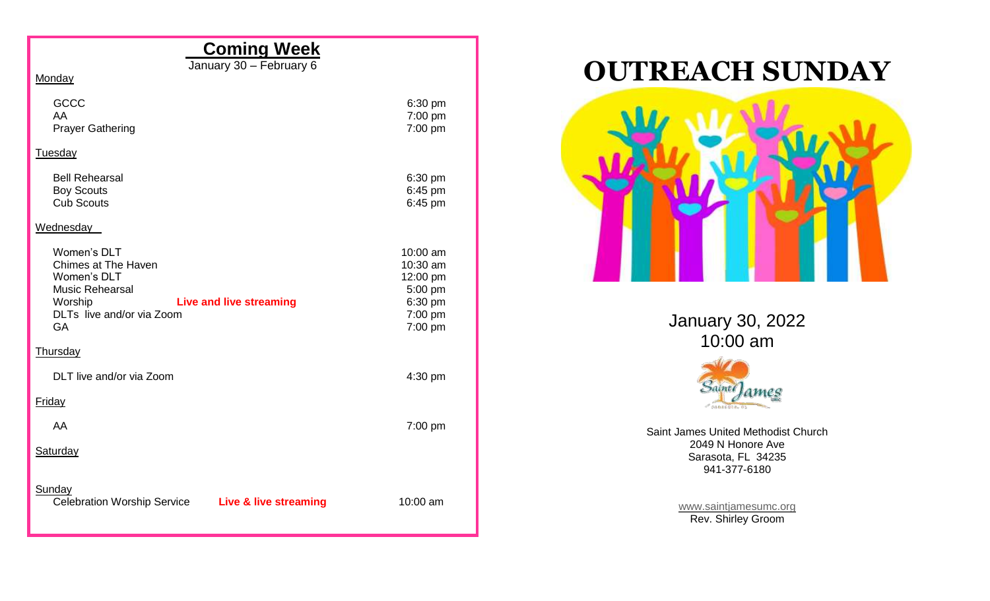## **Coming Week**

January 30 – February 6

Monday

| GCCC<br>AA<br><b>Prayer Gathering</b>                                                                                                                                     | 6:30 pm<br>7:00 pm<br>7:00 pm                                                |
|---------------------------------------------------------------------------------------------------------------------------------------------------------------------------|------------------------------------------------------------------------------|
| Tuesday                                                                                                                                                                   |                                                                              |
| <b>Bell Rehearsal</b><br><b>Boy Scouts</b><br><b>Cub Scouts</b>                                                                                                           | 6:30 pm<br>6:45 pm<br>6:45 pm                                                |
| Wednesday                                                                                                                                                                 |                                                                              |
| Women's DLT<br><b>Chimes at The Haven</b><br>Women's DLT<br><b>Music Rehearsal</b><br>Worship<br><b>Live and live streaming</b><br>DLTs live and/or via Zoom<br><b>GA</b> | 10:00 am<br>10:30 am<br>12:00 pm<br>5:00 pm<br>6:30 pm<br>7:00 pm<br>7:00 pm |
| Thursday                                                                                                                                                                  |                                                                              |
| DLT live and/or via Zoom                                                                                                                                                  | 4:30 pm                                                                      |
| <b>Friday</b>                                                                                                                                                             |                                                                              |
| AA                                                                                                                                                                        | $7:00$ pm                                                                    |
| Saturday                                                                                                                                                                  |                                                                              |
| Sunday<br><b>Celebration Worship Service</b><br>Live & live streaming                                                                                                     | 10:00 am                                                                     |

## **OUTREACH SUNDAY**



January 30, 2022 10:00 am



Saint James United Methodist Church 2049 N Honore Ave Sarasota, FL 34235 941-377-6180

> [www.saintjamesumc.org](http://www.saintjamesumc.org/) Rev. Shirley Groom